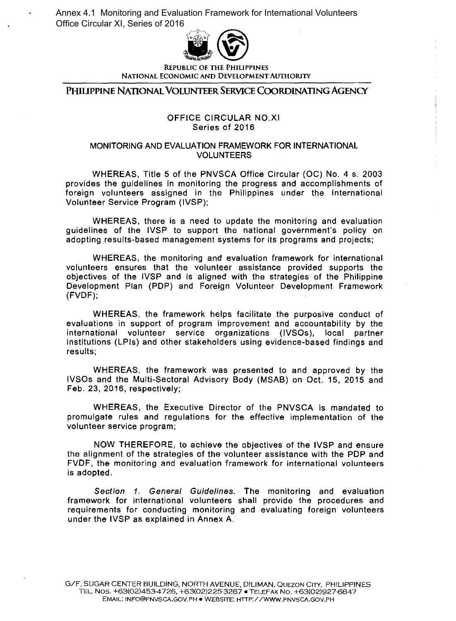Annex 4.1 Monitoring and Evaluation Framework for International Volunteers Office Circular XI, Series of 2016



NATIONAL ECONOMIC AND DEVELOPMENT AUTHORITY

PHIUPPINE NATIONAL VOLUNTEER SERVICE COORDINATING AGENCY

## OFFICE CIRCULAR NO.XI Series of 2016

## MONITORING AND EVALUATION FRAMEWORK FOR INTERNATIONAL VOLUNTEERS

WHEREAS, Title 5 of the PNVSCA Office Circular (OC) No. 4 s. 2003 provides the guidelines in monitoring the progress and accomplishments of foreign volunteers assigned in the Philippines under the International Volunteer Service Program (IVSP);

WHEREAS, there is a need to update the monitoring and evaluation guidelines of the IVSP to support the national government's policy on adopting results-based management systems for its programs and projects;

WHEREAS, the monitoring and evaluation framework for international volunteers ensures that the volunteer assistance provided supports the objectives of the IVSP and is aligned with the strategies of the Philippine Development Plan (PDP) and Foreign Volunteer Development Framework (FVDF);

WHEREAS, the framework helps facilitate the purposive conduct of evaluations in support of program improvement and accountability by the international volunteer service organizations (IVSOs), local partner institutions (LPis) and other stakeholders using evidence-based findings and results;

WHEREAS, the framework was presented to and approved by the IVSOs and the Multi-Sectoral Advisory Body (MSAB) on Oct. 15, 2015 and Feb. 23, 2016, respectively;

WHEREAS, the Executive Director of the PNVSCA is mandated to promulgate rules and regulations for the effective implementation of the volunteer service program;

NOW THEREFORE, to achieve the objectives of the IVSP and ensure the alignment of the strategies of the volunteer assistance with the PDP and FVDF, the monitoring and evaluation framework for international volunteers is adopted.

Section 1. General Guidelines. The monitoring and evaluation framework for international volunteers shall provide the procedures and requirements for conducting monitoring and evaluating foreign volunteers under the IVSP as explained in Annex A.

G/F, SUGAR CENTER BUILDING, NORTH AVENUE, DILlMAN, QUEZON CITY, PHILIPPINES TEL. NOS. +63(02)453-4726, +63(02)225-3267 • TELEFAX No. +63(02)927-6847 EMAIL: INFO@PNVSCA.GOV.PH • WEBSITE: HTTP:/ /WWW.PNVSCA.GOV.PH